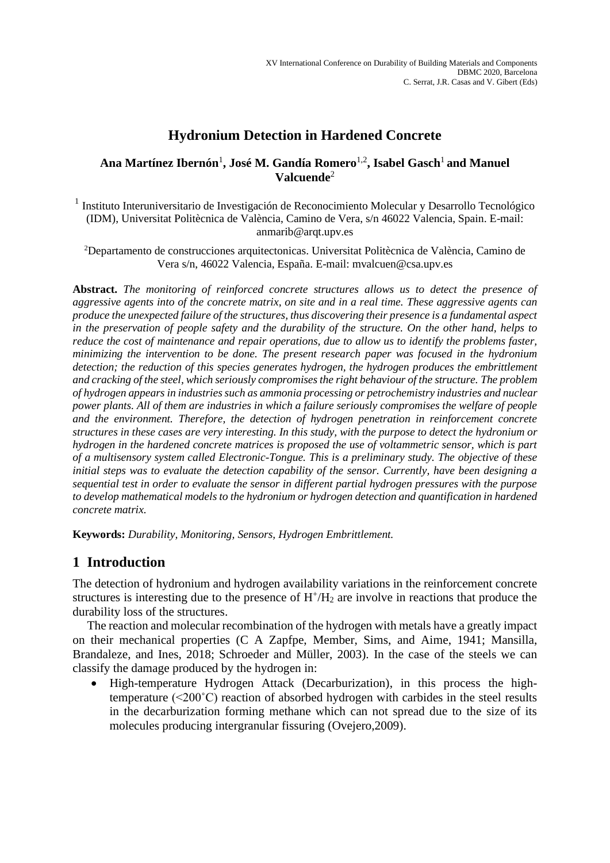# **Hydronium Detection in Hardened Concrete**

### $\boldsymbol{\mathsf{Ana}}$  Martínez Ibernón<sup>1</sup>, José M. Gandía Romero<sup>1,2</sup>, Isabel Gasch<sup>1</sup> and Manuel **Valcuende**<sup>2</sup>

<sup>1</sup> Instituto Interuniversitario de Investigación de Reconocimiento Molecular y Desarrollo Tecnológico (IDM), Universitat Politècnica de València, Camino de Vera, s/n 46022 Valencia, Spain. E-mail: anmarib@arqt.upv.es

<sup>2</sup>Departamento de construcciones arquitectonicas. Universitat Politècnica de València, Camino de Vera s/n, 46022 Valencia, España. E-mail: mvalcuen@csa.upv.es

**Abstract.** *The monitoring of reinforced concrete structures allows us to detect the presence of aggressive agents into of the concrete matrix, on site and in a real time. These aggressive agents can produce the unexpected failure of the structures, thus discovering their presence is a fundamental aspect in the preservation of people safety and the durability of the structure. On the other hand, helps to reduce the cost of maintenance and repair operations, due to allow us to identify the problems faster, minimizing the intervention to be done. The present research paper was focused in the hydronium detection; the reduction of this species generates hydrogen, the hydrogen produces the embrittlement and cracking of the steel, which seriously compromises the right behaviour of the structure. The problem of hydrogen appears in industries such as ammonia processing or petrochemistry industries and nuclear power plants. All of them are industries in which a failure seriously compromises the welfare of people and the environment. Therefore, the detection of hydrogen penetration in reinforcement concrete structures in these cases are very interesting. In this study, with the purpose to detect the hydronium or hydrogen in the hardened concrete matrices is proposed the use of voltammetric sensor, which is part of a multisensory system called Electronic-Tongue. This is a preliminary study. The objective of these initial steps was to evaluate the detection capability of the sensor. Currently, have been designing a sequential test in order to evaluate the sensor in different partial hydrogen pressures with the purpose to develop mathematical models to the hydronium or hydrogen detection and quantification in hardened concrete matrix.*

**Keywords:** *Durability, Monitoring, Sensors, Hydrogen Embrittlement.*

## **1 Introduction**

The detection of hydronium and hydrogen availability variations in the reinforcement concrete structures is interesting due to the presence of  $H<sup>+</sup>/H<sub>2</sub>$  are involve in reactions that produce the durability loss of the structures.

The reaction and molecular recombination of the hydrogen with metals have a greatly impact on their mechanical properties (C A Zapfpe, Member, Sims, and Aime, 1941; Mansilla, Brandaleze, and Ines, 2018; Schroeder and Müller, 2003). In the case of the steels we can classify the damage produced by the hydrogen in:

• High-temperature Hydrogen Attack (Decarburization), in this process the hightemperature (<200˚C) reaction of absorbed hydrogen with carbides in the steel results in the decarburization forming methane which can not spread due to the size of its molecules producing intergranular fissuring (Ovejero,2009).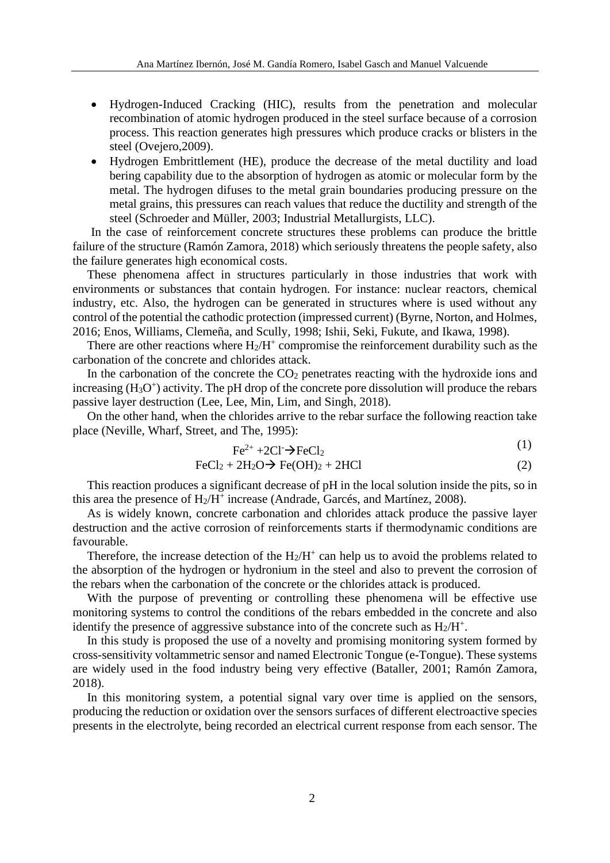- Hydrogen-Induced Cracking (HIC), results from the penetration and molecular recombination of atomic hydrogen produced in the steel surface because of a corrosion process. This reaction generates high pressures which produce cracks or blisters in the steel (Ovejero,2009).
- Hydrogen Embrittlement (HE), produce the decrease of the metal ductility and load bering capability due to the absorption of hydrogen as atomic or molecular form by the metal. The hydrogen difuses to the metal grain boundaries producing pressure on the metal grains, this pressures can reach values that reduce the ductility and strength of the steel (Schroeder and Müller, 2003; Industrial Metallurgists, LLC).

In the case of reinforcement concrete structures these problems can produce the brittle failure of the structure (Ramón Zamora, 2018) which seriously threatens the people safety, also the failure generates high economical costs.

These phenomena affect in structures particularly in those industries that work with environments or substances that contain hydrogen. For instance: nuclear reactors, chemical industry, etc. Also, the hydrogen can be generated in structures where is used without any control of the potential the cathodic protection (impressed current) (Byrne, Norton, and Holmes, 2016; Enos, Williams, Clemeña, and Scully, 1998; Ishii, Seki, Fukute, and Ikawa, 1998).

There are other reactions where  $H_2/H^+$  compromise the reinforcement durability such as the carbonation of the concrete and chlorides attack.

In the carbonation of the concrete the  $CO<sub>2</sub>$  penetrates reacting with the hydroxide ions and increasing  $(H_3O^+)$  activity. The pH drop of the concrete pore dissolution will produce the rebars passive layer destruction (Lee, Lee, Min, Lim, and Singh, 2018).

On the other hand, when the chlorides arrive to the rebar surface the following reaction take place (Neville, Wharf, Street, and The, 1995):

$$
\text{Fe}^{2+} + 2\text{Cl} \rightarrow \text{FeCl}_2 \tag{1}
$$

 $(1)$ 

$$
FeCl2 + 2H2O \rightarrow Fe(OH)2 + 2HCl
$$
 (2)

This reaction produces a significant decrease of pH in the local solution inside the pits, so in this area the presence of  $H_2/H^+$  increase (Andrade, Garcés, and Martínez, 2008).

As is widely known, concrete carbonation and chlorides attack produce the passive layer destruction and the active corrosion of reinforcements starts if thermodynamic conditions are favourable.

Therefore, the increase detection of the  $H_2/H^+$  can help us to avoid the problems related to the absorption of the hydrogen or hydronium in the steel and also to prevent the corrosion of the rebars when the carbonation of the concrete or the chlorides attack is produced.

With the purpose of preventing or controlling these phenomena will be effective use monitoring systems to control the conditions of the rebars embedded in the concrete and also identify the presence of aggressive substance into of the concrete such as  $H_2/H^+$ .

In this study is proposed the use of a novelty and promising monitoring system formed by cross-sensitivity voltammetric sensor and named Electronic Tongue (e-Tongue). These systems are widely used in the food industry being very effective (Bataller, 2001; Ramón Zamora, 2018).

In this monitoring system, a potential signal vary over time is applied on the sensors, producing the reduction or oxidation over the sensors surfaces of different electroactive species presents in the electrolyte, being recorded an electrical current response from each sensor. The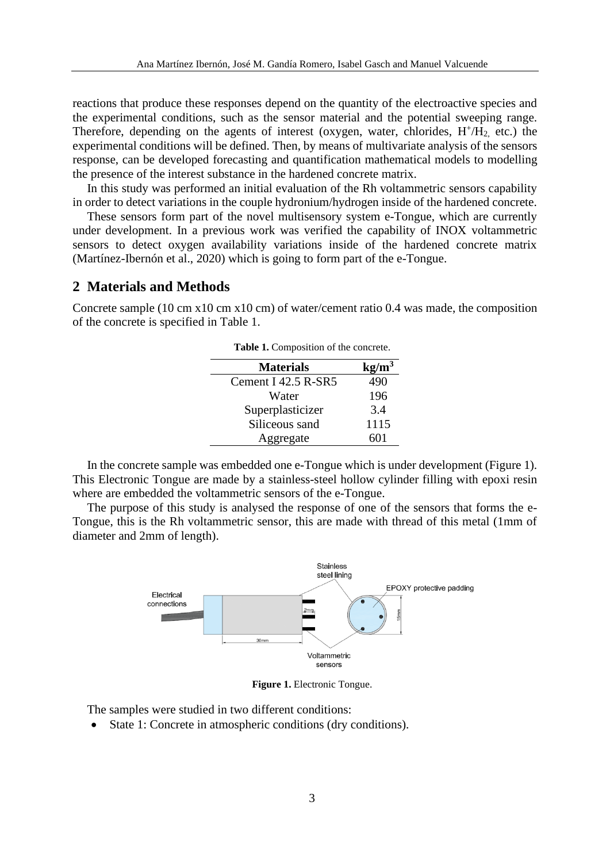reactions that produce these responses depend on the quantity of the electroactive species and the experimental conditions, such as the sensor material and the potential sweeping range. Therefore, depending on the agents of interest (oxygen, water, chlorides,  $H^+/H_2$ , etc.) the experimental conditions will be defined. Then, by means of multivariate analysis of the sensors response, can be developed forecasting and quantification mathematical models to modelling the presence of the interest substance in the hardened concrete matrix.

In this study was performed an initial evaluation of the Rh voltammetric sensors capability in order to detect variations in the couple hydronium/hydrogen inside of the hardened concrete.

These sensors form part of the novel multisensory system e-Tongue, which are currently under development. In a previous work was verified the capability of INOX voltammetric sensors to detect oxygen availability variations inside of the hardened concrete matrix (Martínez-Ibernón et al., 2020) which is going to form part of the e-Tongue.

#### **2 Materials and Methods**

<span id="page-2-0"></span>Concrete sample (10 cm x10 cm x10 cm) of water/cement ratio 0.4 was made, the composition of the concrete is specified in [Table 1.](#page-2-0)

| <b>Materials</b>    | kg/m <sup>3</sup> |
|---------------------|-------------------|
| Cement I 42.5 R-SR5 | 490               |
| Water               | 196               |
| Superplasticizer    | 3.4               |
| Siliceous sand      | 1115              |
| Aggregate           |                   |

**Table 1.** Composition of the concrete.

In the concrete sample was embedded one e-Tongue which is under development [\(Figure 1\)](#page-2-1). This Electronic Tongue are made by a stainless-steel hollow cylinder filling with epoxi resin where are embedded the voltammetric sensors of the e-Tongue.

The purpose of this study is analysed the response of one of the sensors that forms the e-Tongue, this is the Rh voltammetric sensor, this are made with thread of this metal (1mm of diameter and 2mm of length).



**Figure 1.** Electronic Tongue.

<span id="page-2-1"></span>The samples were studied in two different conditions:

• State 1: Concrete in atmospheric conditions (dry conditions).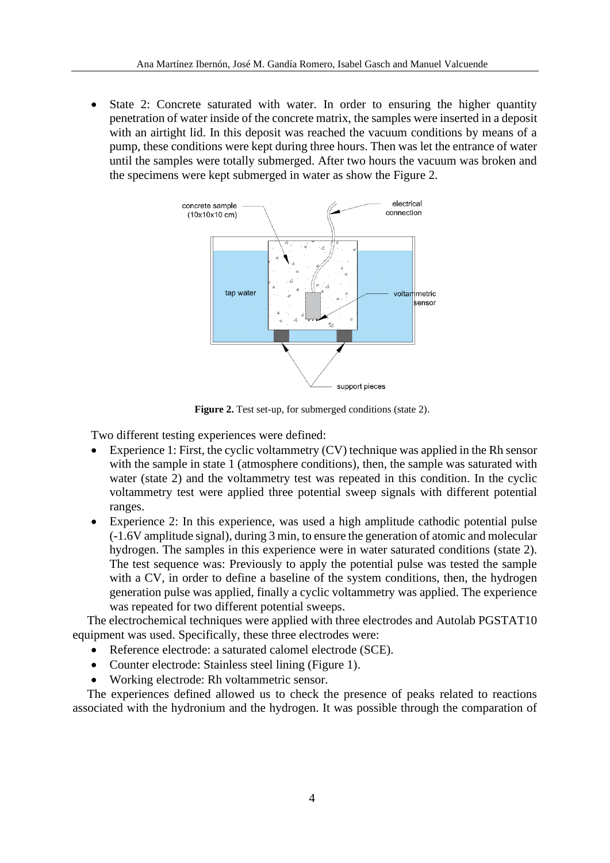State 2: Concrete saturated with water. In order to ensuring the higher quantity penetration of water inside of the concrete matrix, the samples were inserted in a deposit with an airtight lid. In this deposit was reached the vacuum conditions by means of a pump, these conditions were kept during three hours. Then was let the entrance of water until the samples were totally submerged. After two hours the vacuum was broken and the specimens were kept submerged in water as show the [Figure 2.](#page-3-0)



Figure 2. Test set-up, for submerged conditions (state 2).

<span id="page-3-0"></span>Two different testing experiences were defined:

- Experience 1: First, the cyclic voltammetry (CV) technique was applied in the Rh sensor with the sample in state 1 (atmosphere conditions), then, the sample was saturated with water (state 2) and the voltammetry test was repeated in this condition. In the cyclic voltammetry test were applied three potential sweep signals with different potential ranges.
- Experience 2: In this experience, was used a high amplitude cathodic potential pulse (-1.6V amplitude signal), during 3 min, to ensure the generation of atomic and molecular hydrogen. The samples in this experience were in water saturated conditions (state 2). The test sequence was: Previously to apply the potential pulse was tested the sample with a CV, in order to define a baseline of the system conditions, then, the hydrogen generation pulse was applied, finally a cyclic voltammetry was applied. The experience was repeated for two different potential sweeps.

The electrochemical techniques were applied with three electrodes and Autolab PGSTAT10 equipment was used. Specifically, these three electrodes were:

- Reference electrode: a saturated calomel electrode (SCE).
- Counter electrode: Stainless steel lining [\(Figure 1\)](#page-2-1).
- Working electrode: Rh voltammetric sensor.

The experiences defined allowed us to check the presence of peaks related to reactions associated with the hydronium and the hydrogen. It was possible through the comparation of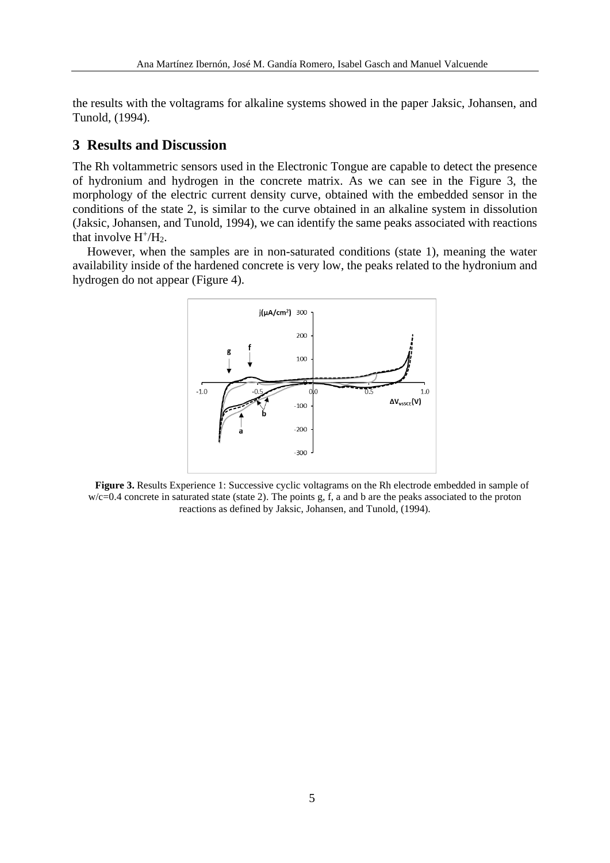the results with the voltagrams for alkaline systems showed in the paper Jaksic, Johansen, and Tunold, (1994).

### **3 Results and Discussion**

The Rh voltammetric sensors used in the Electronic Tongue are capable to detect the presence of hydronium and hydrogen in the concrete matrix. As we can see in the [Figure 3,](#page-4-0) the morphology of the electric current density curve, obtained with the embedded sensor in the conditions of the state 2, is similar to the curve obtained in an alkaline system in dissolution (Jaksic, Johansen, and Tunold, 1994), we can identify the same peaks associated with reactions that involve  $H^+/H_2$ .

However, when the samples are in non-saturated conditions (state 1), meaning the water availability inside of the hardened concrete is very low, the peaks related to the hydronium and hydrogen do not appear [\(Figure 4\)](#page-5-0).



<span id="page-4-0"></span>**Figure 3.** Results Experience 1: Successive cyclic voltagrams on the Rh electrode embedded in sample of w/c=0.4 concrete in saturated state (state 2). The points g, f, a and b are the peaks associated to the proton reactions as defined by Jaksic, Johansen, and Tunold, (1994).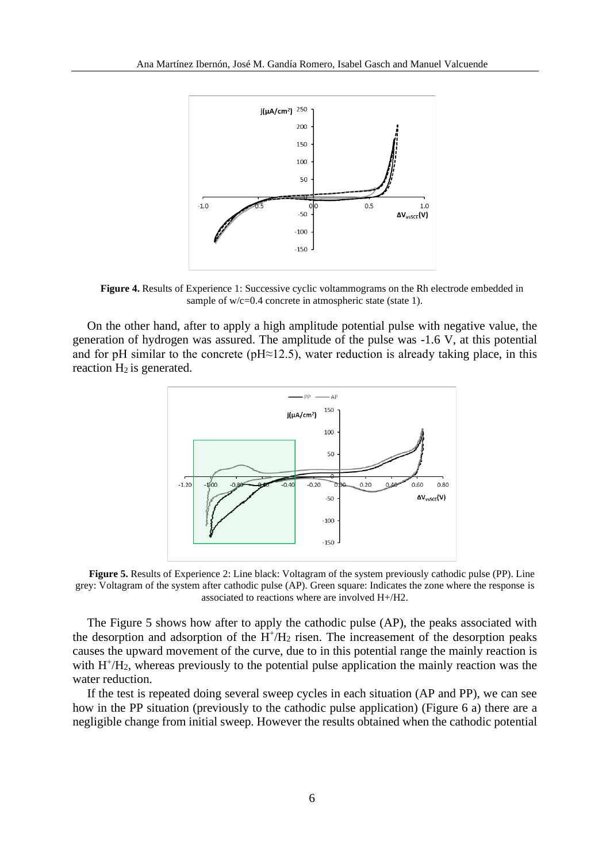

<span id="page-5-0"></span>**Figure 4.** Results of Experience 1: Successive cyclic voltammograms on the Rh electrode embedded in sample of  $w/c=0.4$  concrete in atmospheric state (state 1).

On the other hand, after to apply a high amplitude potential pulse with negative value, the generation of hydrogen was assured. The amplitude of the pulse was -1.6 V, at this potential and for pH similar to the concrete (pH $\approx$ 12.5), water reduction is already taking place, in this reaction  $H_2$  is generated.



<span id="page-5-1"></span>**Figure 5.** Results of Experience 2: Line black: Voltagram of the system previously cathodic pulse (PP). Line grey: Voltagram of the system after cathodic pulse (AP). Green square: Indicates the zone where the response is associated to reactions where are involved H+/H2.

The [Figure 5](#page-5-1) shows how after to apply the cathodic pulse (AP), the peaks associated with the desorption and adsorption of the  $H^+/H_2$  risen. The increasement of the desorption peaks causes the upward movement of the curve, due to in this potential range the mainly reaction is with H<sup>+</sup>/H<sub>2</sub>, whereas previously to the potential pulse application the mainly reaction was the water reduction.

If the test is repeated doing several sweep cycles in each situation (AP and PP), we can see how in the PP situation (previously to the cathodic pulse application) [\(Figure 6](#page-6-0) a) there are a negligible change from initial sweep. However the results obtained when the cathodic potential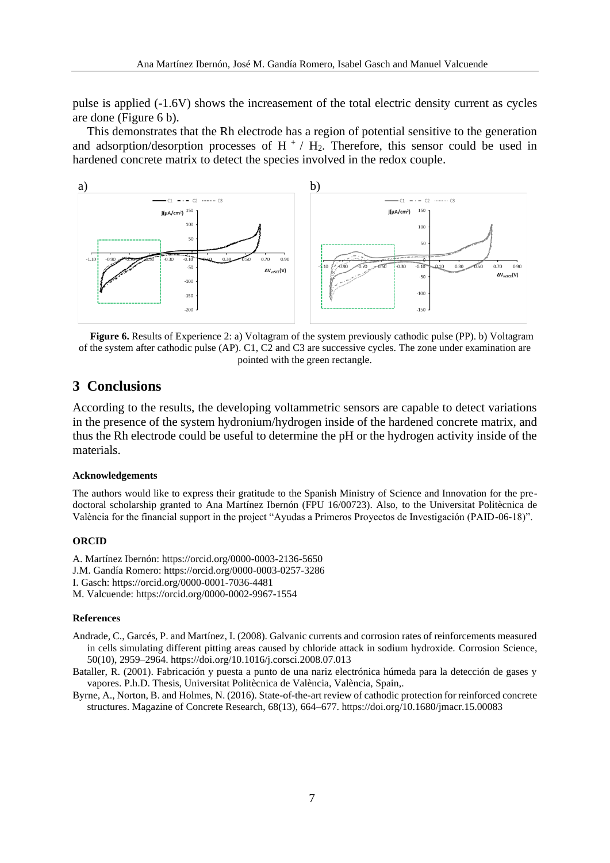pulse is applied (-1.6V) shows the increasement of the total electric density current as cycles are done [\(Figure 6](#page-6-0) b).

This demonstrates that the Rh electrode has a region of potential sensitive to the generation and adsorption/desorption processes of  $H<sup>+</sup>/H<sub>2</sub>$ . Therefore, this sensor could be used in hardened concrete matrix to detect the species involved in the redox couple.



<span id="page-6-0"></span>**Figure 6.** Results of Experience 2: a) Voltagram of the system previously cathodic pulse (PP). b) Voltagram of the system after cathodic pulse (AP). C1, C2 and C3 are successive cycles. The zone under examination are pointed with the green rectangle.

## **3 Conclusions**

According to the results, the developing voltammetric sensors are capable to detect variations in the presence of the system hydronium/hydrogen inside of the hardened concrete matrix, and thus the Rh electrode could be useful to determine the pH or the hydrogen activity inside of the materials.

#### **Acknowledgements**

The authors would like to express their gratitude to the Spanish Ministry of Science and Innovation for the predoctoral scholarship granted to Ana Martínez Ibernón (FPU 16/00723). Also, to the Universitat Politècnica de València for the financial support in the project "Ayudas a Primeros Proyectos de Investigación (PAID-06-18)".

#### **ORCID**

A. Martínez Ibernón: https://orcid.org/0000-0003-2136-5650 J.M. Gandía Romero: https://orcid.org/0000-0003-0257-3286 I. Gasch: https://orcid.org/0000-0001-7036-4481 M. Valcuende: https://orcid.org/0000-0002-9967-1554

#### **References**

- Andrade, C., Garcés, P. and Martínez, I. (2008). Galvanic currents and corrosion rates of reinforcements measured in cells simulating different pitting areas caused by chloride attack in sodium hydroxide. Corrosion Science, 50(10), 2959–2964. https://doi.org/10.1016/j.corsci.2008.07.013
- Bataller, R. (2001). Fabricación y puesta a punto de una nariz electrónica húmeda para la detección de gases y vapores. P.h.D. Thesis, Universitat Politècnica de València, València, Spain,.
- Byrne, A., Norton, B. and Holmes, N. (2016). State-of-the-art review of cathodic protection for reinforced concrete structures. Magazine of Concrete Research, 68(13), 664–677. https://doi.org/10.1680/jmacr.15.00083